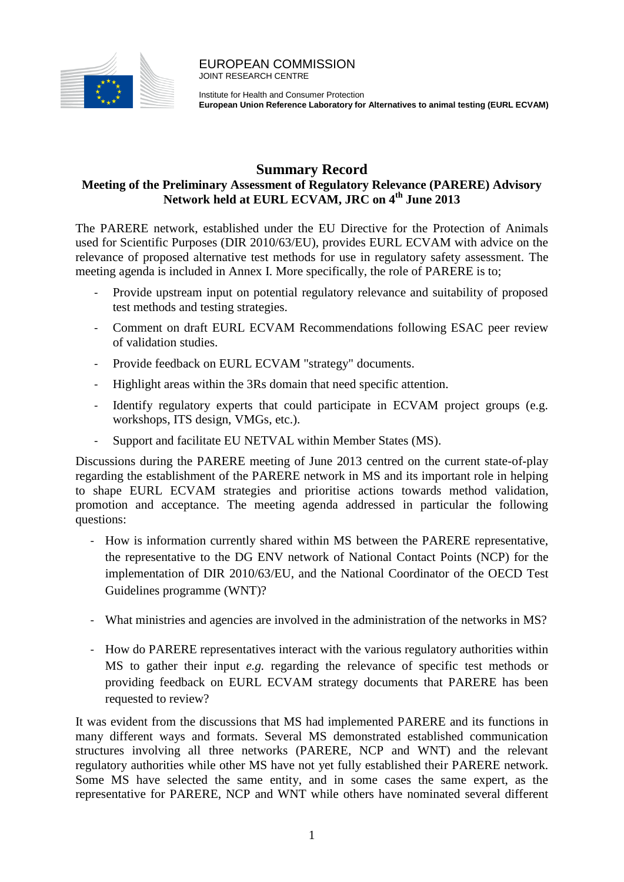

Institute for Health and Consumer Protection **European Union Reference Laboratory for Alternatives to animal testing (EURL ECVAM)**

## **Summary Record Meeting of the Preliminary Assessment of Regulatory Relevance (PARERE) Advisory Network held at EURL ECVAM, JRC on 4th June 2013**

The PARERE network, established under the EU Directive for the Protection of Animals used for Scientific Purposes (DIR 2010/63/EU), provides EURL ECVAM with advice on the relevance of proposed alternative test methods for use in regulatory safety assessment. The meeting agenda is included in Annex I. More specifically, the role of PARERE is to;

- Provide upstream input on potential regulatory relevance and suitability of proposed test methods and testing strategies.
- Comment on draft EURL ECVAM Recommendations following ESAC peer review of validation studies.
- Provide feedback on EURL ECVAM "strategy" documents.
- Highlight areas within the 3Rs domain that need specific attention.
- Identify regulatory experts that could participate in ECVAM project groups (e.g. workshops, ITS design, VMGs, etc.).
- Support and facilitate EU NETVAL within Member States (MS).

Discussions during the PARERE meeting of June 2013 centred on the current state-of-play regarding the establishment of the PARERE network in MS and its important role in helping to shape EURL ECVAM strategies and prioritise actions towards method validation, promotion and acceptance. The meeting agenda addressed in particular the following questions:

- How is information currently shared within MS between the PARERE representative, the representative to the DG ENV network of National Contact Points (NCP) for the implementation of DIR 2010/63/EU, and the National Coordinator of the OECD Test Guidelines programme (WNT)?
- What ministries and agencies are involved in the administration of the networks in MS?
- How do PARERE representatives interact with the various regulatory authorities within MS to gather their input *e.g.* regarding the relevance of specific test methods or providing feedback on EURL ECVAM strategy documents that PARERE has been requested to review?

It was evident from the discussions that MS had implemented PARERE and its functions in many different ways and formats. Several MS demonstrated established communication structures involving all three networks (PARERE, NCP and WNT) and the relevant regulatory authorities while other MS have not yet fully established their PARERE network. Some MS have selected the same entity, and in some cases the same expert, as the representative for PARERE, NCP and WNT while others have nominated several different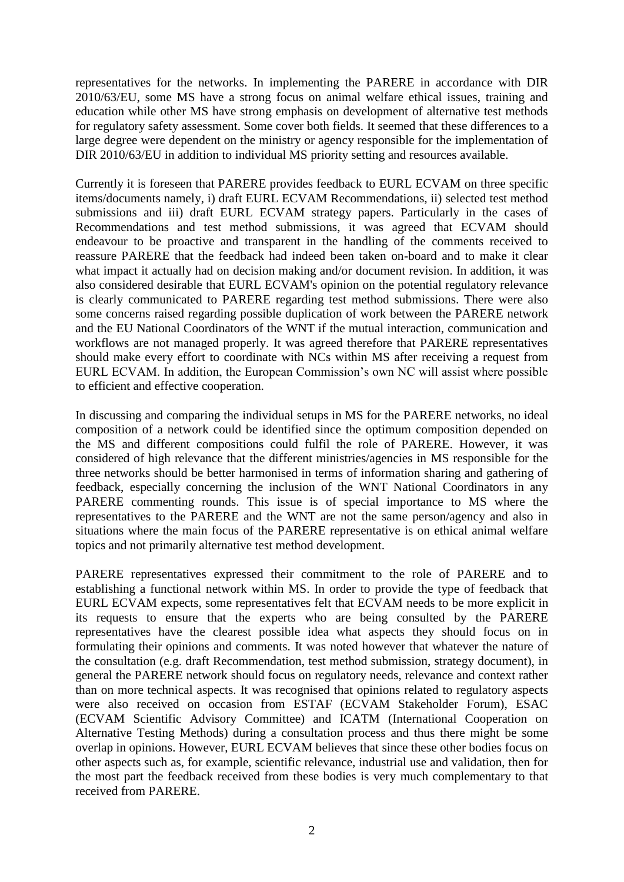representatives for the networks. In implementing the PARERE in accordance with DIR 2010/63/EU, some MS have a strong focus on animal welfare ethical issues, training and education while other MS have strong emphasis on development of alternative test methods for regulatory safety assessment. Some cover both fields. It seemed that these differences to a large degree were dependent on the ministry or agency responsible for the implementation of DIR 2010/63/EU in addition to individual MS priority setting and resources available.

Currently it is foreseen that PARERE provides feedback to EURL ECVAM on three specific items/documents namely, i) draft EURL ECVAM Recommendations, ii) selected test method submissions and iii) draft EURL ECVAM strategy papers. Particularly in the cases of Recommendations and test method submissions, it was agreed that ECVAM should endeavour to be proactive and transparent in the handling of the comments received to reassure PARERE that the feedback had indeed been taken on-board and to make it clear what impact it actually had on decision making and/or document revision. In addition, it was also considered desirable that EURL ECVAM's opinion on the potential regulatory relevance is clearly communicated to PARERE regarding test method submissions. There were also some concerns raised regarding possible duplication of work between the PARERE network and the EU National Coordinators of the WNT if the mutual interaction, communication and workflows are not managed properly. It was agreed therefore that PARERE representatives should make every effort to coordinate with NCs within MS after receiving a request from EURL ECVAM. In addition, the European Commission's own NC will assist where possible to efficient and effective cooperation.

In discussing and comparing the individual setups in MS for the PARERE networks, no ideal composition of a network could be identified since the optimum composition depended on the MS and different compositions could fulfil the role of PARERE. However, it was considered of high relevance that the different ministries/agencies in MS responsible for the three networks should be better harmonised in terms of information sharing and gathering of feedback, especially concerning the inclusion of the WNT National Coordinators in any PARERE commenting rounds. This issue is of special importance to MS where the representatives to the PARERE and the WNT are not the same person/agency and also in situations where the main focus of the PARERE representative is on ethical animal welfare topics and not primarily alternative test method development.

PARERE representatives expressed their commitment to the role of PARERE and to establishing a functional network within MS. In order to provide the type of feedback that EURL ECVAM expects, some representatives felt that ECVAM needs to be more explicit in its requests to ensure that the experts who are being consulted by the PARERE representatives have the clearest possible idea what aspects they should focus on in formulating their opinions and comments. It was noted however that whatever the nature of the consultation (e.g. draft Recommendation, test method submission, strategy document), in general the PARERE network should focus on regulatory needs, relevance and context rather than on more technical aspects. It was recognised that opinions related to regulatory aspects were also received on occasion from ESTAF (ECVAM Stakeholder Forum), ESAC (ECVAM Scientific Advisory Committee) and ICATM (International Cooperation on Alternative Testing Methods) during a consultation process and thus there might be some overlap in opinions. However, EURL ECVAM believes that since these other bodies focus on other aspects such as, for example, scientific relevance, industrial use and validation, then for the most part the feedback received from these bodies is very much complementary to that received from PARERE.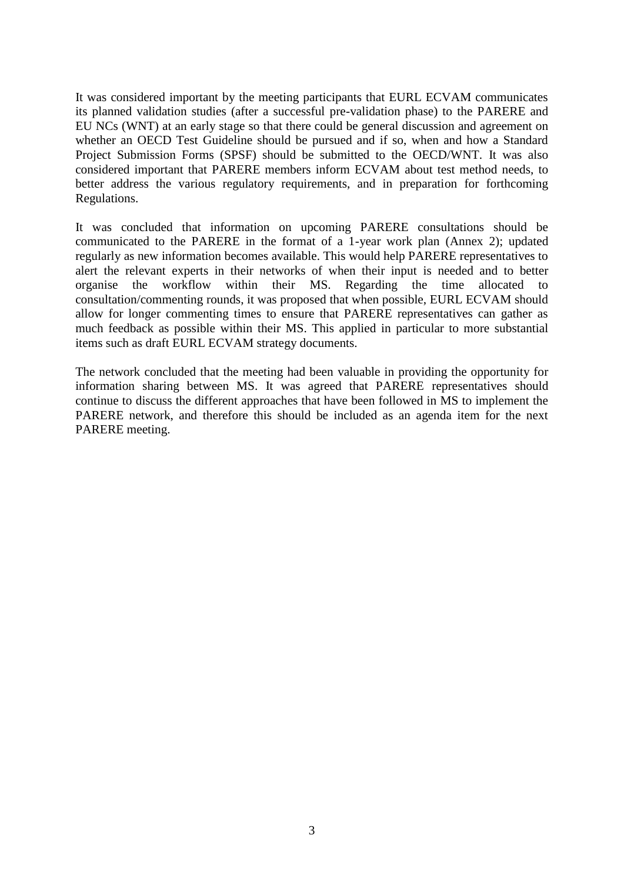It was considered important by the meeting participants that EURL ECVAM communicates its planned validation studies (after a successful pre-validation phase) to the PARERE and EU NCs (WNT) at an early stage so that there could be general discussion and agreement on whether an OECD Test Guideline should be pursued and if so, when and how a Standard Project Submission Forms (SPSF) should be submitted to the OECD/WNT. It was also considered important that PARERE members inform ECVAM about test method needs, to better address the various regulatory requirements, and in preparation for forthcoming Regulations.

It was concluded that information on upcoming PARERE consultations should be communicated to the PARERE in the format of a 1-year work plan (Annex 2); updated regularly as new information becomes available. This would help PARERE representatives to alert the relevant experts in their networks of when their input is needed and to better organise the workflow within their MS. Regarding the time allocated to consultation/commenting rounds, it was proposed that when possible, EURL ECVAM should allow for longer commenting times to ensure that PARERE representatives can gather as much feedback as possible within their MS. This applied in particular to more substantial items such as draft EURL ECVAM strategy documents.

The network concluded that the meeting had been valuable in providing the opportunity for information sharing between MS. It was agreed that PARERE representatives should continue to discuss the different approaches that have been followed in MS to implement the PARERE network, and therefore this should be included as an agenda item for the next PARERE meeting.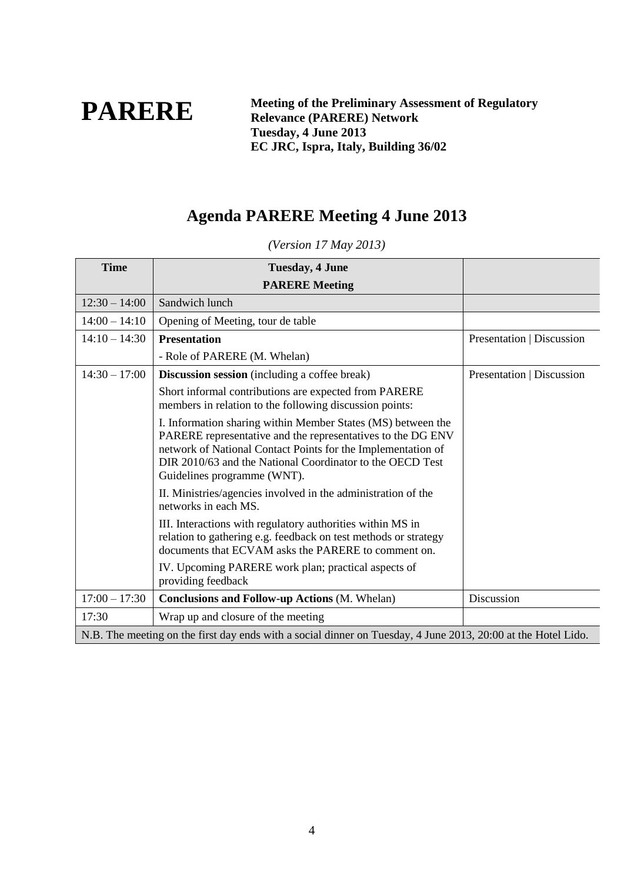**PARERE Meeting of the Preliminary Assessment of Regulatory Relevance (PARERE) Network Tuesday, 4 June 2013 EC JRC, Ispra, Italy, Building 36/02**

## **Agenda PARERE Meeting 4 June 2013**

| <b>Time</b>                                                                                                   | <b>Tuesday, 4 June</b>                                                                                                                                                                                                                                                                  |                           |  |
|---------------------------------------------------------------------------------------------------------------|-----------------------------------------------------------------------------------------------------------------------------------------------------------------------------------------------------------------------------------------------------------------------------------------|---------------------------|--|
|                                                                                                               | <b>PARERE Meeting</b>                                                                                                                                                                                                                                                                   |                           |  |
| $12:30 - 14:00$                                                                                               | Sandwich lunch                                                                                                                                                                                                                                                                          |                           |  |
| $14:00 - 14:10$                                                                                               | Opening of Meeting, tour de table                                                                                                                                                                                                                                                       |                           |  |
| $14:10 - 14:30$                                                                                               | <b>Presentation</b>                                                                                                                                                                                                                                                                     | Presentation   Discussion |  |
|                                                                                                               | - Role of PARERE (M. Whelan)                                                                                                                                                                                                                                                            |                           |  |
| $14:30 - 17:00$                                                                                               | <b>Discussion session</b> (including a coffee break)                                                                                                                                                                                                                                    | Presentation   Discussion |  |
|                                                                                                               | Short informal contributions are expected from PARERE<br>members in relation to the following discussion points:                                                                                                                                                                        |                           |  |
|                                                                                                               | I. Information sharing within Member States (MS) between the<br>PARERE representative and the representatives to the DG ENV<br>network of National Contact Points for the Implementation of<br>DIR 2010/63 and the National Coordinator to the OECD Test<br>Guidelines programme (WNT). |                           |  |
|                                                                                                               | II. Ministries/agencies involved in the administration of the<br>networks in each MS.                                                                                                                                                                                                   |                           |  |
|                                                                                                               | III. Interactions with regulatory authorities within MS in<br>relation to gathering e.g. feedback on test methods or strategy<br>documents that ECVAM asks the PARERE to comment on.                                                                                                    |                           |  |
|                                                                                                               | IV. Upcoming PARERE work plan; practical aspects of<br>providing feedback                                                                                                                                                                                                               |                           |  |
| $17:00 - 17:30$                                                                                               | <b>Conclusions and Follow-up Actions (M. Whelan)</b>                                                                                                                                                                                                                                    | Discussion                |  |
| 17:30                                                                                                         | Wrap up and closure of the meeting                                                                                                                                                                                                                                                      |                           |  |
| N.B. The meeting on the first day ends with a social dinner on Tuesday, 4 June 2013, 20:00 at the Hotel Lido. |                                                                                                                                                                                                                                                                                         |                           |  |

*(Version 17 May 2013)*